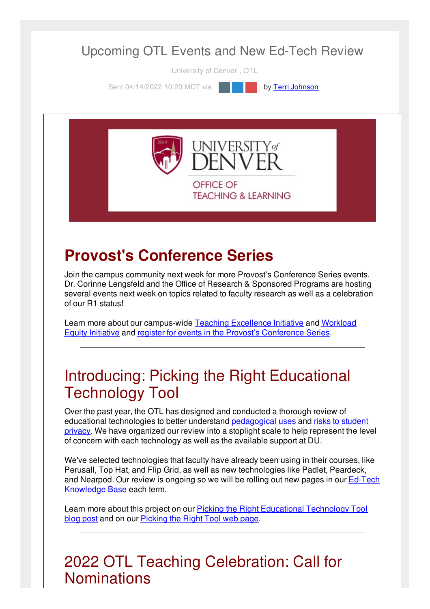### Upcoming OTL Events and New Ed-Tech Review

University of Denver , OTL

Sent 04/14/2022 10:20 MDT via **by Terri [Johnson](file:///networks/du/users/1149646)** 



# **Provost's Conference Series**

Join the campus community next week for more Provost's Conference Series events. Dr. Corinne Lengsfeld and the Office of Research & Sponsored Programs are hosting several events next week on topics related to faculty research as well as a celebration of our R1 status!

Learn more about our [campus-wide](https://duvpfa.du.edu/advancing-equity/workload-equity/) Teaching [Excellence](https://duvpfa.du.edu/advancing-equity/teaching-excellence/) Initiative and Workload Equity Initiative and register for events in the Provost's [Conference](https://duvpfa.du.edu/r1-our-way/provosts-conference-series-2022/) Series.

### Introducing: Picking the Right Educational Technology Tool

Over the past year, the OTL has designed and conducted a thorough review of educational [technologies](https://otl.du.edu/plan-a-course/teaching-resources/ferpa/) to better understand [pedagogical](https://otl.du.edu/teaching-technology/) uses and risks to student privacy. We have organized our review into a stoplight scale to help represent the level of concern with each technology as well as the available support at DU.

We've selected technologies that faculty have already been using in their courses, like Perusall, Top Hat, and Flip Grid, as well as new technologies like Padlet, Peardeck, and Nearpod. Our review is ongoing so we will be rolling out new pages in our Ed-Tech [Knowledge](https://otl.du.edu/knowledgebase/) Base each term.

Learn more about this project on our Picking the Right [Educational](https://otl.du.edu/picking-the-right-educational-technology-tool/) Technology Tool blog post and on our **[Picking](https://otl.du.edu/picking-the-right-ed-tech-tool/) the Right Tool web page**.

### 2022 OTL Teaching Celebration: Call for **Nominations**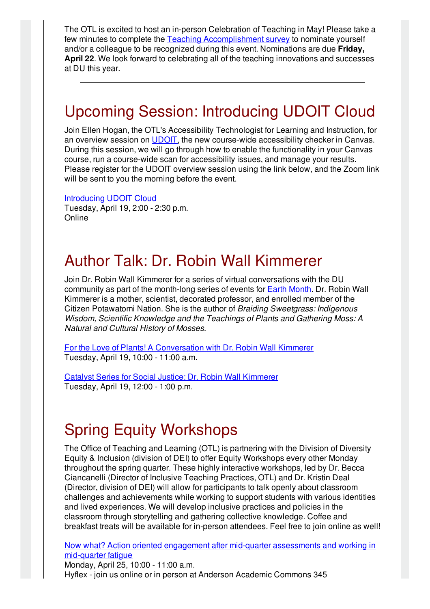The OTL is excited to host an in-person Celebration of Teaching in May! Please take a few minutes to complete the Teaching [Accomplishment](https://udenver.qualtrics.com/jfe/form/SV_5vVYJLMBIy9FppI) survey to nominate yourself and/or a colleague to be recognized during this event. Nominations are due **Friday, April 22**. We look forward to celebrating all of the teaching innovations and successes at DU this year.

# Upcoming Session: Introducing UDOIT Cloud

Join Ellen Hogan, the OTL's Accessibility Technologist for Learning and Instruction, for an overview session on [UDOIT](https://otl.du.edu/knowledgebase/what-is-udoit-cloud/), the new course-wide accessibility checker in Canvas. During this session, we will go through how to enable the functionality in your Canvas course, run a course-wide scan for accessibility issues, and manage your results. Please register for the UDOIT overview session using the link below, and the Zoom link will be sent to you the morning before the event.

#### [Introducing](https://otl-events.du.edu/public/registration/5895) UDOIT Cloud

Tuesday, April 19, 2:00 - 2:30 p.m. **Online** 

### Author Talk: Dr. Robin Wall Kimmerer

Join Dr. Robin Wall Kimmerer for a series of virtual conversations with the DU community as part of the month-long series of events for Earth [Month](https://www.du.edu/sustainability/opportunities). Dr. Robin Wall Kimmerer is a mother, scientist, decorated professor, and enrolled member of the Citizen Potawatomi Nation. She is the author of *Braiding Sweetgrass: Indigenous Wisdom, Scientific Knowledge and the Teachings of Plants and Gathering Moss: A Natural and Cultural History of Mosses*.

For the Love of Plants! A [Conversation](https://udenver.zoom.us/meeting/register/tZAvdeuuqjIrE9JAmo3hLYK6SGrmQeAcQ8UK) with Dr. Robin Wall Kimmerer Tuesday, April 19, 10:00 - 11:00 a.m.

Catalyst Series for Social Justice: Dr. Robin Wall [Kimmerer](https://udenver.zoom.us/webinar/register/WN_jZR2G9xIQE6RDJu89wiIyA) Tuesday, April 19, 12:00 - 1:00 p.m.

### Spring Equity Workshops

The Office of Teaching and Learning (OTL) is partnering with the Division of Diversity Equity & Inclusion (division of DEI) to offer Equity Workshops every other Monday throughout the spring quarter. These highly interactive workshops, led by Dr. Becca Ciancanelli (Director of Inclusive Teaching Practices, OTL) and Dr. Kristin Deal (Director, division of DEI) will allow for participants to talk openly about classroom challenges and achievements while working to support students with various identities and lived experiences. We will develop inclusive practices and policies in the classroom through storytelling and gathering collective knowledge. Coffee and breakfast treats will be available for in-person attendees. Feel free to join online as well!

Now what? Action oriented engagement after mid-quarter [assessments](https://otl-events.du.edu/public/registration/5820) and working in mid-quarter fatigue

Monday, April 25, 10:00 - 11:00 a.m. Hyflex - join us online or in person at Anderson Academic Commons 345